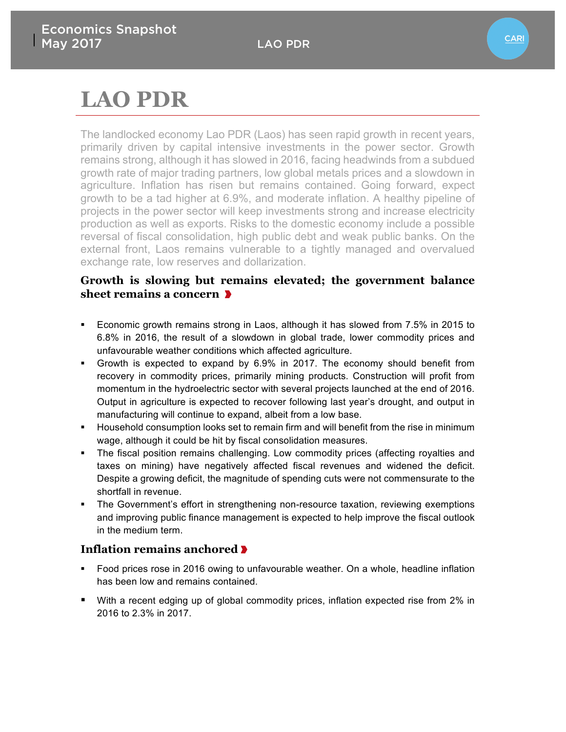# **LAO PDR**

The landlocked economy Lao PDR (Laos) has seen rapid growth in recent years, primarily driven by capital intensive investments in the power sector. Growth remains strong, although it has slowed in 2016, facing headwinds from a subdued growth rate of major trading partners, low global metals prices and a slowdown in agriculture. Inflation has risen but remains contained. Going forward, expect growth to be a tad higher at 6.9%, and moderate inflation. A healthy pipeline of projects in the power sector will keep investments strong and increase electricity production as well as exports. Risks to the domestic economy include a possible reversal of fiscal consolidation, high public debt and weak public banks. On the external front, Laos remains vulnerable to a tightly managed and overvalued exchange rate, low reserves and dollarization.

#### **Growth is slowing but remains elevated; the government balance sheet remains a concern**

- § Economic growth remains strong in Laos, although it has slowed from 7.5% in 2015 to 6.8% in 2016, the result of a slowdown in global trade, lower commodity prices and unfavourable weather conditions which affected agriculture.
- § Growth is expected to expand by 6.9% in 2017. The economy should benefit from recovery in commodity prices, primarily mining products. Construction will profit from momentum in the hydroelectric sector with several projects launched at the end of 2016. Output in agriculture is expected to recover following last year's drought, and output in manufacturing will continue to expand, albeit from a low base.
- **•** Household consumption looks set to remain firm and will benefit from the rise in minimum wage, although it could be hit by fiscal consolidation measures.
- The fiscal position remains challenging. Low commodity prices (affecting royalties and taxes on mining) have negatively affected fiscal revenues and widened the deficit. Despite a growing deficit, the magnitude of spending cuts were not commensurate to the shortfall in revenue.
- The Government's effort in strengthening non-resource taxation, reviewing exemptions and improving public finance management is expected to help improve the fiscal outlook in the medium term.

#### **Inflation remains anchored**

- Food prices rose in 2016 owing to unfavourable weather. On a whole, headline inflation has been low and remains contained.
- With a recent edging up of global commodity prices, inflation expected rise from 2% in 2016 to 2.3% in 2017.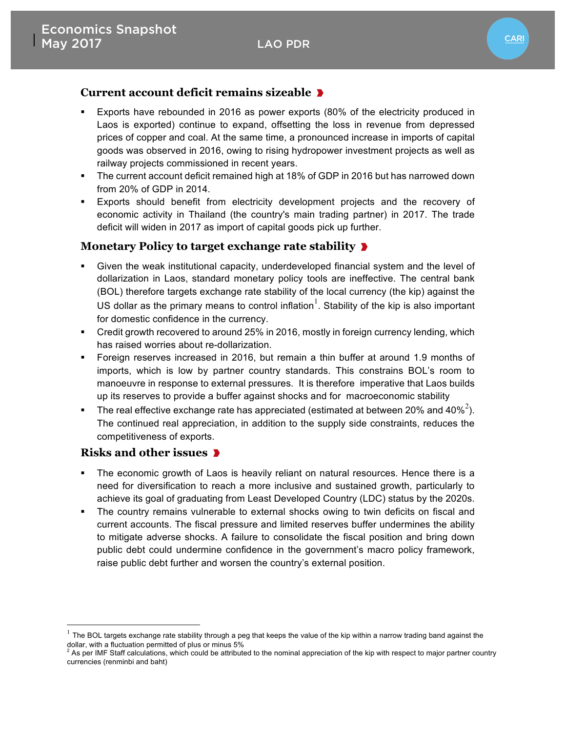### **CARI**

#### **Current account deficit remains sizeable**

- Exports have rebounded in 2016 as power exports (80% of the electricity produced in Laos is exported) continue to expand, offsetting the loss in revenue from depressed prices of copper and coal. At the same time, a pronounced increase in imports of capital goods was observed in 2016, owing to rising hydropower investment projects as well as railway projects commissioned in recent years.
- The current account deficit remained high at 18% of GDP in 2016 but has narrowed down from 20% of GDP in 2014.
- § Exports should benefit from electricity development projects and the recovery of economic activity in Thailand (the country's main trading partner) in 2017. The trade deficit will widen in 2017 as import of capital goods pick up further.

#### **Monetary Policy to target exchange rate stability**

- § Given the weak institutional capacity, underdeveloped financial system and the level of dollarization in Laos, standard monetary policy tools are ineffective. The central bank (BOL) therefore targets exchange rate stability of the local currency (the kip) against the US dollar as the primary means to control inflation<sup>1</sup>. Stability of the kip is also important for domestic confidence in the currency.
- § Credit growth recovered to around 25% in 2016, mostly in foreign currency lending, which has raised worries about re-dollarization.
- § Foreign reserves increased in 2016, but remain a thin buffer at around 1.9 months of imports, which is low by partner country standards. This constrains BOL's room to manoeuvre in response to external pressures. It is therefore imperative that Laos builds up its reserves to provide a buffer against shocks and for macroeconomic stability
- **•** The real effective exchange rate has appreciated (estimated at between 20% and 40%<sup>2</sup>). The continued real appreciation, in addition to the supply side constraints, reduces the competitiveness of exports.

#### **Risks and other issues**

- The economic growth of Laos is heavily reliant on natural resources. Hence there is a need for diversification to reach a more inclusive and sustained growth, particularly to achieve its goal of graduating from Least Developed Country (LDC) status by the 2020s.
- The country remains vulnerable to external shocks owing to twin deficits on fiscal and current accounts. The fiscal pressure and limited reserves buffer undermines the ability to mitigate adverse shocks. A failure to consolidate the fiscal position and bring down public debt could undermine confidence in the government's macro policy framework, raise public debt further and worsen the country's external position.

 $1$  The BOL targets exchange rate stability through a peg that keeps the value of the kip within a narrow trading band against the dollar, with a fluctuation permitted of plus or minus 5%  $^2$ <br><sup>2</sup> As per IMF Staff calculations, which could be attributed to the nominal appreciation of the kip with respect to major partner country

currencies (renminbi and baht)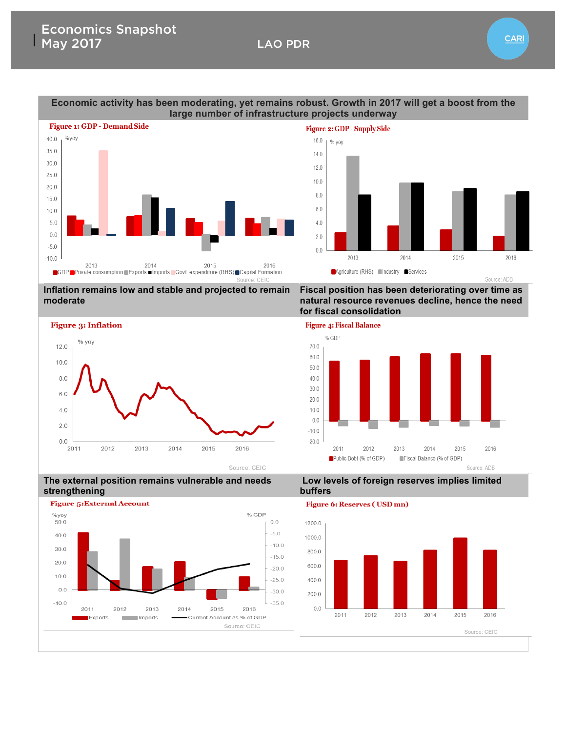

## **Economic activity has been moderating, yet remains robust. Growth in 2017 will get a boost from the**

**Inflation remains low and stable and projected to remain moderate** 



**natural resource revenues decline, hence the need for fiscal consolidation**



**Low levels of foreign reserves implies limited** 

**Fiscal position has been deteriorating over time as** 

**The external position remains vulnerable and needs strengthening**



#### **Figure 6: Reserves (USD mn)**

**buffers** 



**CARI** 

2016

Source: ADB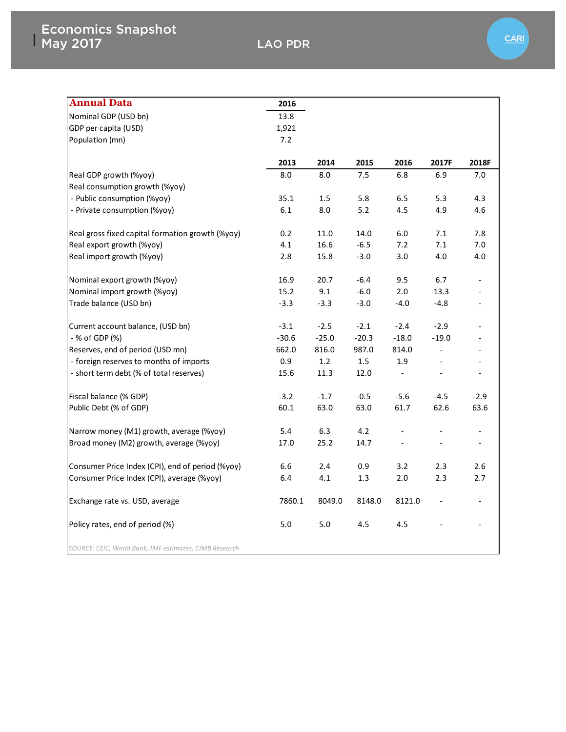| <b>Annual Data</b>                                     | 2016    |         |         |                          |                          |                          |
|--------------------------------------------------------|---------|---------|---------|--------------------------|--------------------------|--------------------------|
| Nominal GDP (USD bn)                                   | 13.8    |         |         |                          |                          |                          |
| GDP per capita (USD)                                   | 1,921   |         |         |                          |                          |                          |
| Population (mn)                                        | 7.2     |         |         |                          |                          |                          |
|                                                        |         |         |         |                          |                          |                          |
|                                                        | 2013    | 2014    | 2015    | 2016                     | 2017F                    | 2018F                    |
| Real GDP growth (%yoy)                                 | 8.0     | 8.0     | 7.5     | 6.8                      | 6.9                      | 7.0                      |
| Real consumption growth (%yoy)                         |         |         |         |                          |                          |                          |
| - Public consumption (%yoy)                            | 35.1    | 1.5     | 5.8     | 6.5                      | 5.3                      | 4.3                      |
| - Private consumption (%yoy)                           | 6.1     | 8.0     | $5.2$   | 4.5                      | 4.9                      | 4.6                      |
|                                                        |         |         |         |                          |                          |                          |
| Real gross fixed capital formation growth (%yoy)       | 0.2     | 11.0    | 14.0    | 6.0                      | 7.1                      | 7.8                      |
| Real export growth (%yoy)                              | 4.1     | 16.6    | $-6.5$  | 7.2                      | 7.1                      | 7.0                      |
| Real import growth (%yoy)                              | 2.8     | 15.8    | $-3.0$  | 3.0                      | 4.0                      | 4.0                      |
|                                                        |         |         |         |                          |                          |                          |
| Nominal export growth (%yoy)                           | 16.9    | 20.7    | $-6.4$  | 9.5                      | 6.7                      | $\overline{\phantom{0}}$ |
| Nominal import growth (%yoy)                           | 15.2    | 9.1     | $-6.0$  | 2.0                      | 13.3                     |                          |
| Trade balance (USD bn)                                 | $-3.3$  | $-3.3$  | $-3.0$  | $-4.0$                   | $-4.8$                   | $\overline{\phantom{0}}$ |
|                                                        |         |         |         |                          |                          |                          |
| Current account balance, (USD bn)                      | $-3.1$  | $-2.5$  | $-2.1$  | $-2.4$                   | $-2.9$                   |                          |
| - % of GDP (%)                                         | $-30.6$ | $-25.0$ | $-20.3$ | $-18.0$                  | $-19.0$                  |                          |
| Reserves, end of period (USD mn)                       | 662.0   | 816.0   | 987.0   | 814.0                    | $\overline{\phantom{a}}$ |                          |
| - foreign reserves to months of imports                | 0.9     | 1.2     | 1.5     | 1.9                      | $\Box$                   | $\overline{\phantom{a}}$ |
| - short term debt (% of total reserves)                | 15.6    | 11.3    | 12.0    | $\overline{\phantom{a}}$ | $\overline{\phantom{a}}$ | $\overline{\phantom{a}}$ |
| Fiscal balance (% GDP)                                 | $-3.2$  | $-1.7$  | $-0.5$  | $-5.6$                   | $-4.5$                   | $-2.9$                   |
| Public Debt (% of GDP)                                 | 60.1    | 63.0    | 63.0    | 61.7                     | 62.6                     | 63.6                     |
|                                                        |         |         |         |                          |                          |                          |
| Narrow money (M1) growth, average (%yoy)               | 5.4     | 6.3     | 4.2     |                          |                          |                          |
| Broad money (M2) growth, average (%yoy)                | 17.0    | 25.2    | 14.7    |                          |                          | $\overline{\phantom{a}}$ |
|                                                        |         |         |         |                          |                          |                          |
| Consumer Price Index (CPI), end of period (%yoy)       | 6.6     | 2.4     | 0.9     | 3.2                      | 2.3                      | 2.6                      |
| Consumer Price Index (CPI), average (%yoy)             | 6.4     | 4.1     | 1.3     | 2.0                      | 2.3                      | 2.7                      |
|                                                        |         |         |         |                          |                          |                          |
| Exchange rate vs. USD, average                         | 7860.1  | 8049.0  | 8148.0  | 8121.0                   |                          |                          |
|                                                        |         |         |         |                          |                          |                          |
| Policy rates, end of period (%)                        | 5.0     | 5.0     | 4.5     | 4.5                      |                          |                          |
|                                                        |         |         |         |                          |                          |                          |
| SOURCE: CEIC, World Bank, IMF estimates, CIMB Research |         |         |         |                          |                          |                          |